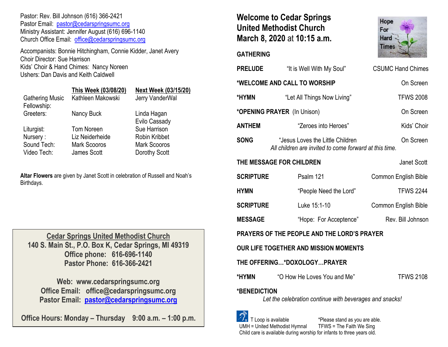Pastor: Rev. Bill Johnson (616) 366-2421 Pastor Email: [pastor@cedarspringsumc.org](mailto:pastor@cedarspringsumc.org) Ministry Assistant: Jennifer August (616) 696-1140 Church Office Email: [office@cedarspringsumc.org](mailto:office@cedarspringsumc.org)

Accompanists: Bonnie Hitchingham, Connie Kidder, Janet Avery Choir Director: Sue Harrison Kids' Choir & Hand Chimes: Nancy Noreen Ushers: Dan Davis and Keith Caldwell

|                                       | This Week (03/08/20) | <b>Next Week (03/15/20)</b>  |
|---------------------------------------|----------------------|------------------------------|
| <b>Gathering Music</b><br>Fellowship: | Kathleen Makowski    | Jerry VanderWal              |
| Greeters:                             | Nancy Buck           | Linda Hagan<br>Evilo Cassady |
| Liturgist:                            | Tom Noreen           | Sue Harrison                 |
| Nursery:                              | Liz Neiderheide      | <b>Robin Kribbet</b>         |
| Sound Tech:                           | <b>Mark Scooros</b>  | <b>Mark Scooros</b>          |
| Video Tech:                           | James Scott          | Dorothy Scott                |

**Altar Flowers** are given by Janet Scott in celebration of Russell and Noah's Birthdays.

**Cedar Springs United Methodist Church 140 S. Main St., P.O. Box K, Cedar Springs, MI 49319 Office phone: 616-696-1140 Pastor Phone: 616-366-2421**

**Web: www.cedarspringsumc.org Office Email: office@cedarspringsumc.org Pastor Email: [pastor@cedarspringsumc.org](mailto:pastor@cedarspringsumc.org)**

**Office Hours: Monday – Thursday 9:00 a.m. – 1:00 p.m.**

# **Welcome to Cedar Springs United Methodist Church March 8, 2020** at **10:15 a.m.**

## **GATHERING**

| <b>PRELUDE</b>                                                                                                                          | "It is Well With My Soul"                                                                   | <b>CSUMC Hand Chimes</b> |  |  |
|-----------------------------------------------------------------------------------------------------------------------------------------|---------------------------------------------------------------------------------------------|--------------------------|--|--|
| *WELCOME AND CALL TO WORSHIP<br>On Screen                                                                                               |                                                                                             |                          |  |  |
| *HYMN                                                                                                                                   | "Let All Things Now Living"                                                                 | <b>TFWS 2008</b>         |  |  |
|                                                                                                                                         | *OPENING PRAYER (In Unison)                                                                 | On Screen                |  |  |
| <b>ANTHEM</b>                                                                                                                           | "Zeroes into Heroes"                                                                        | Kids' Choir              |  |  |
| <b>SONG</b>                                                                                                                             | "Jesus Loves the Little Children"<br>All children are invited to come forward at this time. | On Screen                |  |  |
| THE MESSAGE FOR CHILDREN                                                                                                                |                                                                                             | Janet Scott              |  |  |
| <b>SCRIPTURE</b>                                                                                                                        | Psalm 121                                                                                   | Common English Bible     |  |  |
| <b>HYMN</b>                                                                                                                             | "People Need the Lord"                                                                      | <b>TFWS 2244</b>         |  |  |
| <b>SCRIPTURE</b>                                                                                                                        | Luke 15:1-10                                                                                | Common English Bible     |  |  |
| <b>MESSAGE</b>                                                                                                                          | "Hope: For Acceptence"                                                                      | Rev. Bill Johnson        |  |  |
| PRAYERS OF THE PEOPLE AND THE LORD'S PRAYER                                                                                             |                                                                                             |                          |  |  |
| <b>OUR LIFE TOGETHER AND MISSION MOMENTS</b>                                                                                            |                                                                                             |                          |  |  |
| THE OFFERING*DOXOLOGYPRAYER                                                                                                             |                                                                                             |                          |  |  |
| *HYMN<br>"O How He Loves You and Me"                                                                                                    |                                                                                             | <b>TFWS 2108</b>         |  |  |
| *BENEDICTION<br>Let the celebration continue with beverages and snacks!                                                                 |                                                                                             |                          |  |  |
| $\mathscr{D}_{\tau}$ T Loop is available<br>*Please stand as you are able.<br>UMH = United Methodist Hvmnal<br>TFWS = The Faith We Sing |                                                                                             |                          |  |  |

Child care is available during worship for infants to three years old.

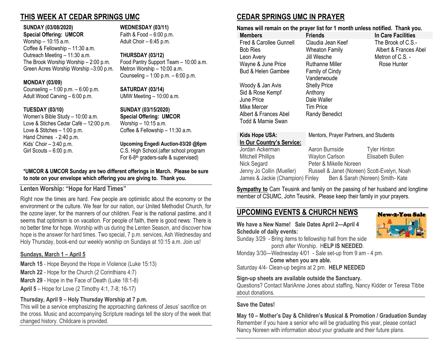# **THIS WEEK AT CEDAR SPRINGS UMC**

### **SUNDAY (03/08/2020) WEDNESDAY (03/11)**

**Special Offering: UMCOR** Faith & Food – 6:00 p.m. Worship  $-10:15$  a.m.  $A \cdot A = 6:45$  p.m. Coffee & Fellowship – 11:30 a.m. Outreach Meeting – 11:30 a.m. **THURSDAY (03/12)** The Brook Worship Worship – 2:00 p.m. Food Pantry Support Team – 10:00 a.m. Green Acres Worship Worship –3:00 p.m. Metron Worship – 10:00 a.m.

### **MONDAY (03/09)**

Counseling – 1:00 p.m. – 6:00 p.m. **SATURDAY (03/14)** Adult Wood Carving – 6:00 p.m. UMW Meeting – 10:00 a.m.

Women's Bible Study – 10:00 a.m. **Special Offering: UMCOR** Love & Stiches Cedar Café – 12:00 p.m. Worship – 10:15 a.m. Love & Stitches – 1:00 p.m. Coffee & Fellowship – 11:30 a.m. Hand Chimes - 2:40 p.m. Kids' Choir – 3:40 p.m. **Upcoming Engedi Auction-03/20 @6pm** Girl Scouts – 6:00 p.m. C.S. High School.(after school program

Counseling – 1:00 p.m. – 6:00 p.m.

### **TUESDAY (03/10) SUNDAY (03/15/2020)**

For 6-8 th graders-safe & supervised)

### **\*UMCOR & UMCOR Sunday are two different offerings in March. Please be sure to note on your envelope which offering you are giving to. Thank you.**

# **Lenten Worship: "Hope for Hard Times"**

Right now the times are hard. Few people are optimistic about the economy or the environment or the culture. We fear for our nation, our United Methodist Church, for the ozone layer, for the manners of our children. Fear is the national pastime, and it seems that optimism is on vacation. For people of faith, there is good news: There is no better time for hope. Worship with us during the Lenten Season, and discover how hope is the answer for hard times. Two special, 7 p.m. services, Ash Wednesday and Holy Thursday, book-end our weekly worship on Sundays at 10:15 a.m. Join us!

## **Sundays, March 1 – April 5**

**March 15** - Hope Beyond the Hope in Violence (Luke 15:13)

- **March 22** Hope for the Church (2 Corinthians 4:7)
- **March 29** Hope in the Face of Death (Luke 18:1-8)

**April 5** – Hope for Love (2 Timothy 4:1, 7-8; 16-17)

## **Thursday, April 9 – Holy Thursday Worship at 7 p.m.**

This will be a service emphasizing the approaching darkness of Jesus' sacrifice on the cross. Music and accompanying Scripture readings tell the story of the week that changed history. Childcare is provided.

# **CEDAR SPRINGS UMC IN PRAYER**

**Names will remain on the prayer list for 1 month unless notified. Thank you.**

| <b>Members</b>                | <b>Friends</b>         | In Care Facilities    |
|-------------------------------|------------------------|-----------------------|
| Fred & Carollee Gunnell       | Claudia Jean Keef      | The Brook of C.S.-    |
| <b>Bob Ries</b>               | <b>Wheaton Family</b>  | Albert & Frances Abel |
| Leon Avery                    | Jill Wesche            | Metron of C.S. -      |
| Wayne & June Price            | Ruthanne Miller        | Rose Hunter           |
| <b>Bud &amp; Helen Gambee</b> | <b>Family of Cindy</b> |                       |
|                               | Vanderwoude            |                       |
| Woody & Jan Avis              | <b>Shelly Price</b>    |                       |
| Sid & Rose Kempf              | Anthony                |                       |
| June Price                    | Dale Waller            |                       |
| Mike Mercer                   | <b>Tim Price</b>       |                       |
| Albert & Frances Abel         | Randy Benedict         |                       |
| Todd & Marnie Swan            |                        |                       |

### **Kids Hope USA:** Mentors, Prayer Partners, and Students **In Our Country's Service:**

Jordan Ackerman Aaron Burnside Tyler Hinton

Mitchell Phillips Waylon Carlson Elisabeth Bullen Nick Segard Peter & Mikelle Noreen Jenny Jo Collin (Mueller) Russell & Janet (Noreen) Scott-Evelyn, Noah James & Jackie (Champion) Finley Ben & Sarah (Noreen) Smith-Kate Ben & Sarah (Noreen) Smith- Kate

**Sympathy to** Cam Teusink and family on the passing of her husband and longtime member of CSUMC, John Teusink. Please keep their family in your prayers.

# **UPCOMING EVENTS & CHURCH NEWS**

**We have a New Name! Sale Dates April 2—April 4 Schedule of daily events:**



Sunday 3/29 - Bring items to fellowship hall from the side porch after Worship. H**ELP IS NEEDED**.

Monday 3/30—Wednesday 4/01 - Sale set-up from 9 am - 4 pm.

**Come when you are able.**

Saturday 4/4- Clean-up begins at 2 pm. **HELP NEEDED**

## **Sign-up sheets are available outside the Sanctuary.**

Questions? Contact MariAnne Jones about staffing, Nancy Kidder or Teresa Tibbe about donations.

## **Save the Dates!**

**May 10 – Mother's Day & Children's Musical & Promotion / Graduation Sunday** Remember if you have a senior who will be graduating this year, please contact Nancy Noreen with information about your graduate and their future plans.